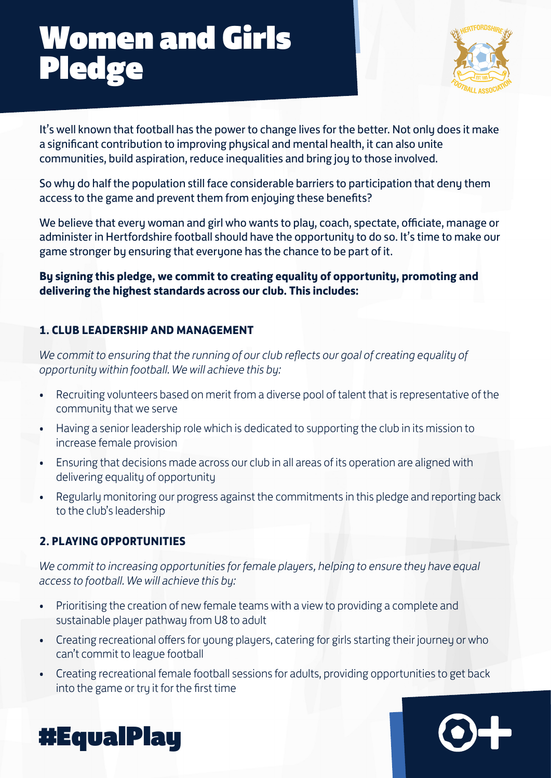# Women and Girls **Pledge**



It's well known that football has the power to change lives for the better. Not only does it make a significant contribution to improving physical and mental health, it can also unite communities, build aspiration, reduce inequalities and bring joy to those involved.

So why do half the population still face considerable barriers to participation that deny them access to the game and prevent them from enjoying these benefits?

We believe that every woman and girl who wants to play, coach, spectate, officiate, manage or administer in Hertfordshire football should have the opportunity to do so. It's time to make our game stronger by ensuring that everyone has the chance to be part of it.

**By signing this pledge, we commit to creating equality of opportunity, promoting and delivering the highest standards across our club. This includes:**

### **1. CLUB LEADERSHIP AND MANAGEMENT**

*We commit to ensuring that the running of our club reflects our goal of creating equality of opportunity within football. We will achieve this by:*

- Recruiting volunteers based on merit from a diverse pool of talent that is representative of the community that we serve
- Having a senior leadership role which is dedicated to supporting the club in its mission to increase female provision
- Ensuring that decisions made across our club in all areas of its operation are aligned with delivering equality of opportunity
- Regularly monitoring our progress against the commitments in this pledge and reporting back to the club's leadership

### **2. PLAYING OPPORTUNITIES**

*We commit to increasing opportunities for female players, helping to ensure they have equal access to football. We will achieve this by:*

- Prioritising the creation of new female teams with a view to providing a complete and sustainable player pathway from U8 to adult
- Creating recreational offers for young players, catering for girls starting their journey or who can't commit to league football
- Creating recreational female football sessions for adults, providing opportunities to get back into the game or try it for the first time